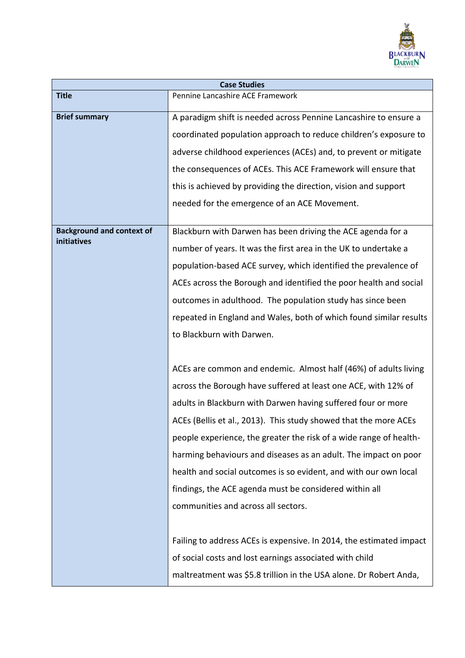

| <b>Case Studies</b>              |                                                                     |  |
|----------------------------------|---------------------------------------------------------------------|--|
| <b>Title</b>                     | Pennine Lancashire ACE Framework                                    |  |
| <b>Brief summary</b>             | A paradigm shift is needed across Pennine Lancashire to ensure a    |  |
|                                  | coordinated population approach to reduce children's exposure to    |  |
|                                  | adverse childhood experiences (ACEs) and, to prevent or mitigate    |  |
|                                  | the consequences of ACEs. This ACE Framework will ensure that       |  |
|                                  | this is achieved by providing the direction, vision and support     |  |
|                                  | needed for the emergence of an ACE Movement.                        |  |
| <b>Background and context of</b> | Blackburn with Darwen has been driving the ACE agenda for a         |  |
| initiatives                      | number of years. It was the first area in the UK to undertake a     |  |
|                                  | population-based ACE survey, which identified the prevalence of     |  |
|                                  | ACEs across the Borough and identified the poor health and social   |  |
|                                  | outcomes in adulthood. The population study has since been          |  |
|                                  | repeated in England and Wales, both of which found similar results  |  |
|                                  | to Blackburn with Darwen.                                           |  |
|                                  |                                                                     |  |
|                                  | ACEs are common and endemic. Almost half (46%) of adults living     |  |
|                                  | across the Borough have suffered at least one ACE, with 12% of      |  |
|                                  | adults in Blackburn with Darwen having suffered four or more        |  |
|                                  | ACEs (Bellis et al., 2013). This study showed that the more ACEs    |  |
|                                  | people experience, the greater the risk of a wide range of health-  |  |
|                                  | harming behaviours and diseases as an adult. The impact on poor     |  |
|                                  | health and social outcomes is so evident, and with our own local    |  |
|                                  | findings, the ACE agenda must be considered within all              |  |
|                                  | communities and across all sectors.                                 |  |
|                                  |                                                                     |  |
|                                  | Failing to address ACEs is expensive. In 2014, the estimated impact |  |
|                                  | of social costs and lost earnings associated with child             |  |
|                                  | maltreatment was \$5.8 trillion in the USA alone. Dr Robert Anda,   |  |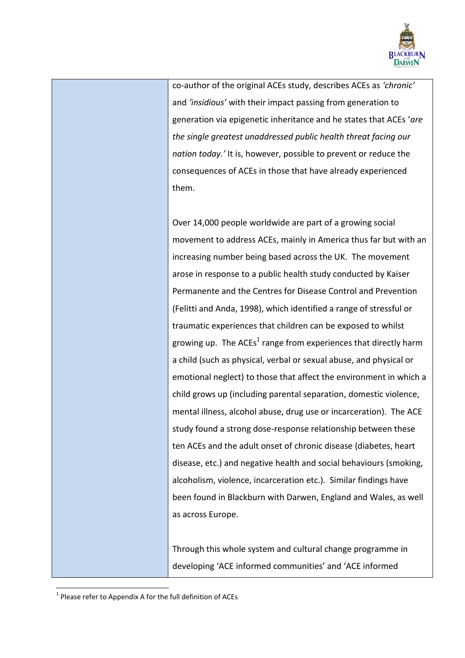

co-author of the original ACEs study, describes ACEs as *'chronic'* and *'insidious'* with their impact passing from generation to generation via epigenetic inheritance and he states that ACEs '*are the single greatest unaddressed public health threat facing our nation today.'* It is, however, possible to prevent or reduce the consequences of ACEs in those that have already experienced them.

Over 14,000 people worldwide are part of a growing social movement to address ACEs, mainly in America thus far but with an increasing number being based across the UK. The movement arose in response to a public health study conducted by Kaiser Permanente and the Centres for Disease Control and Prevention (Felitti and Anda, 1998), which identified a range of stressful or traumatic experiences that children can be exposed to whilst growing up. The ACEs<sup>1</sup> range from experiences that directly harm a child (such as physical, verbal or sexual abuse, and physical or emotional neglect) to those that affect the environment in which a child grows up (including parental separation, domestic violence, mental illness, alcohol abuse, drug use or incarceration). The ACE study found a strong dose-response relationship between these ten ACEs and the adult onset of chronic disease (diabetes, heart disease, etc.) and negative health and social behaviours (smoking, alcoholism, violence, incarceration etc.). Similar findings have been found in Blackburn with Darwen, England and Wales, as well as across Europe.

Through this whole system and cultural change programme in developing 'ACE informed communities' and 'ACE informed

**.** 

 $<sup>1</sup>$  Please refer to Appendix A for the full definition of ACEs</sup>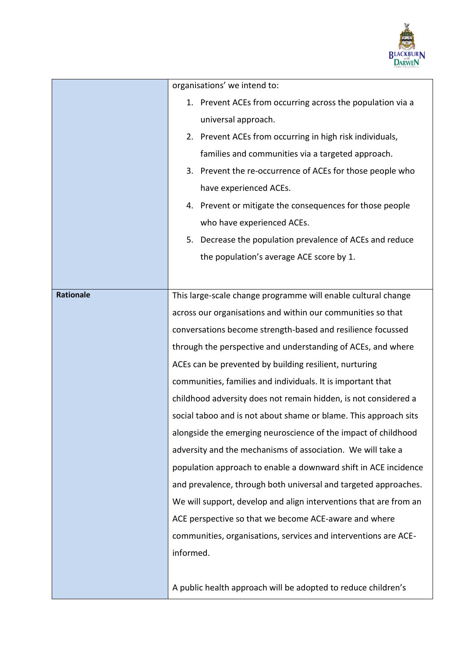

|           | organisations' we intend to:                                      |
|-----------|-------------------------------------------------------------------|
|           | 1. Prevent ACEs from occurring across the population via a        |
|           | universal approach.                                               |
|           | 2. Prevent ACEs from occurring in high risk individuals,          |
|           | families and communities via a targeted approach.                 |
|           | 3. Prevent the re-occurrence of ACEs for those people who         |
|           | have experienced ACEs.                                            |
|           | 4. Prevent or mitigate the consequences for those people          |
|           | who have experienced ACEs.                                        |
|           | 5. Decrease the population prevalence of ACEs and reduce          |
|           | the population's average ACE score by 1.                          |
|           |                                                                   |
| Rationale | This large-scale change programme will enable cultural change     |
|           | across our organisations and within our communities so that       |
|           | conversations become strength-based and resilience focussed       |
|           | through the perspective and understanding of ACEs, and where      |
|           | ACEs can be prevented by building resilient, nurturing            |
|           | communities, families and individuals. It is important that       |
|           | childhood adversity does not remain hidden, is not considered a   |
|           | social taboo and is not about shame or blame. This approach sits  |
|           | alongside the emerging neuroscience of the impact of childhood    |
|           | adversity and the mechanisms of association. We will take a       |
|           | population approach to enable a downward shift in ACE incidence   |
|           | and prevalence, through both universal and targeted approaches.   |
|           | We will support, develop and align interventions that are from an |
|           | ACE perspective so that we become ACE-aware and where             |
|           | communities, organisations, services and interventions are ACE-   |
|           | informed.                                                         |
|           |                                                                   |
|           | A public health approach will be adopted to reduce children's     |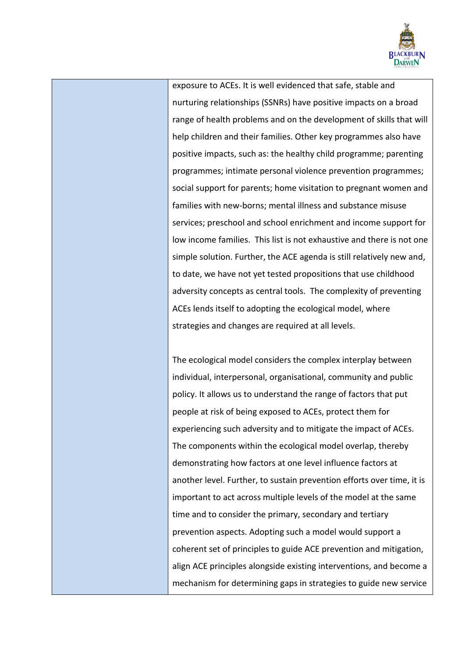

exposure to ACEs. It is well evidenced that safe, stable and nurturing relationships (SSNRs) have positive impacts on a broad range of health problems and on the development of skills that will help children and their families. Other key programmes also have positive impacts, such as: the healthy child programme; parenting programmes; intimate personal violence prevention programmes; social support for parents; home visitation to pregnant women and families with new-borns; mental illness and substance misuse services; preschool and school enrichment and income support for low income families. This list is not exhaustive and there is not one simple solution. Further, the ACE agenda is still relatively new and, to date, we have not yet tested propositions that use childhood adversity concepts as central tools. The complexity of preventing ACEs lends itself to adopting the ecological model, where strategies and changes are required at all levels.

The ecological model considers the complex interplay between individual, interpersonal, organisational, community and public policy. It allows us to understand the range of factors that put people at risk of being exposed to ACEs, protect them for experiencing such adversity and to mitigate the impact of ACEs. The components within the ecological model overlap, thereby demonstrating how factors at one level influence factors at another level. Further, to sustain prevention efforts over time, it is important to act across multiple levels of the model at the same time and to consider the primary, secondary and tertiary prevention aspects. Adopting such a model would support a coherent set of principles to guide ACE prevention and mitigation, align ACE principles alongside existing interventions, and become a mechanism for determining gaps in strategies to guide new service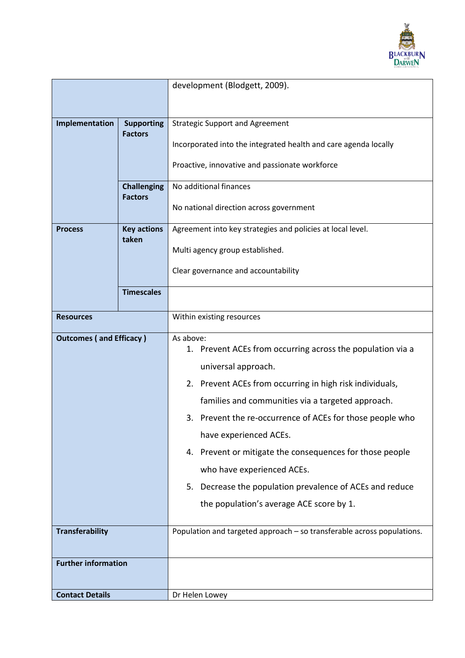

|                                |                                      | development (Blodgett, 2009).                                           |
|--------------------------------|--------------------------------------|-------------------------------------------------------------------------|
|                                |                                      |                                                                         |
|                                |                                      |                                                                         |
| Implementation                 | <b>Supporting</b><br><b>Factors</b>  | <b>Strategic Support and Agreement</b>                                  |
|                                |                                      | Incorporated into the integrated health and care agenda locally         |
|                                |                                      | Proactive, innovative and passionate workforce                          |
|                                | <b>Challenging</b><br><b>Factors</b> | No additional finances                                                  |
|                                |                                      | No national direction across government                                 |
| <b>Process</b>                 | <b>Key actions</b><br>taken          | Agreement into key strategies and policies at local level.              |
|                                |                                      | Multi agency group established.                                         |
|                                |                                      | Clear governance and accountability                                     |
|                                | <b>Timescales</b>                    |                                                                         |
| <b>Resources</b>               |                                      | Within existing resources                                               |
|                                |                                      |                                                                         |
| <b>Outcomes (and Efficacy)</b> |                                      | As above:<br>1. Prevent ACEs from occurring across the population via a |
|                                |                                      | universal approach.                                                     |
|                                |                                      | 2. Prevent ACEs from occurring in high risk individuals,                |
|                                |                                      | families and communities via a targeted approach.                       |
|                                |                                      | 3. Prevent the re-occurrence of ACEs for those people who               |
|                                |                                      | have experienced ACEs.                                                  |
|                                |                                      | 4. Prevent or mitigate the consequences for those people                |
|                                |                                      | who have experienced ACEs.                                              |
|                                |                                      | 5. Decrease the population prevalence of ACEs and reduce                |
|                                |                                      | the population's average ACE score by 1.                                |
|                                |                                      |                                                                         |
| <b>Transferability</b>         |                                      | Population and targeted approach - so transferable across populations.  |
| <b>Further information</b>     |                                      |                                                                         |
|                                |                                      |                                                                         |
| <b>Contact Details</b>         |                                      | Dr Helen Lowey                                                          |